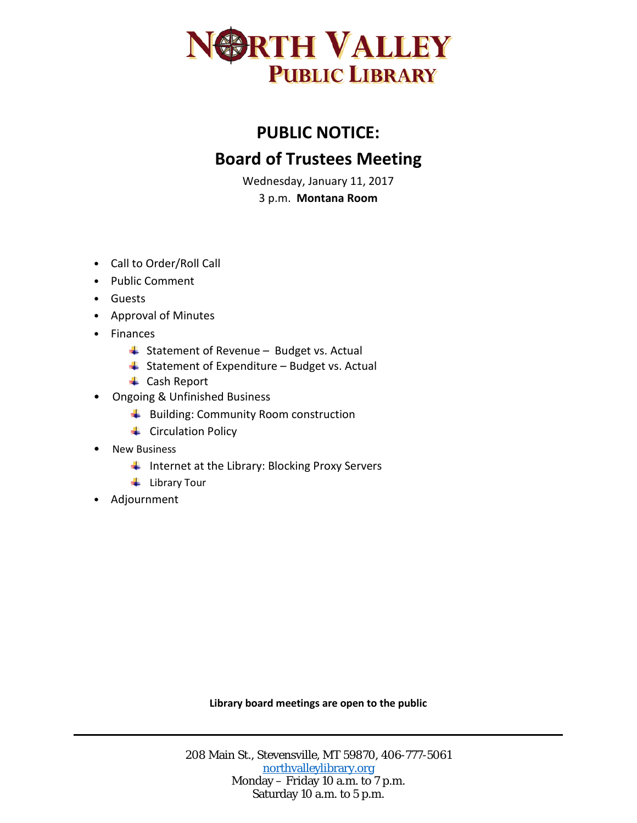

## **PUBLIC NOTICE: Board of Trustees Meeting**

Wednesday, January 11, 2017

3 p.m. **Montana Room**

- Call to Order/Roll Call
- Public Comment
- Guests
- Approval of Minutes
- Finances
	- $\triangleq$  Statement of Revenue Budget vs. Actual
	- $\triangleq$  Statement of Expenditure Budget vs. Actual
	- **↓** Cash Report
- Ongoing & Unfinished Business
	- Building: Community Room construction
	- **↓** Circulation Policy
- New Business
	- Internet at the Library: Blocking Proxy Servers
	- $\ddot{\bullet}$  Library Tour
- Adjournment

**Library board meetings are open to the public**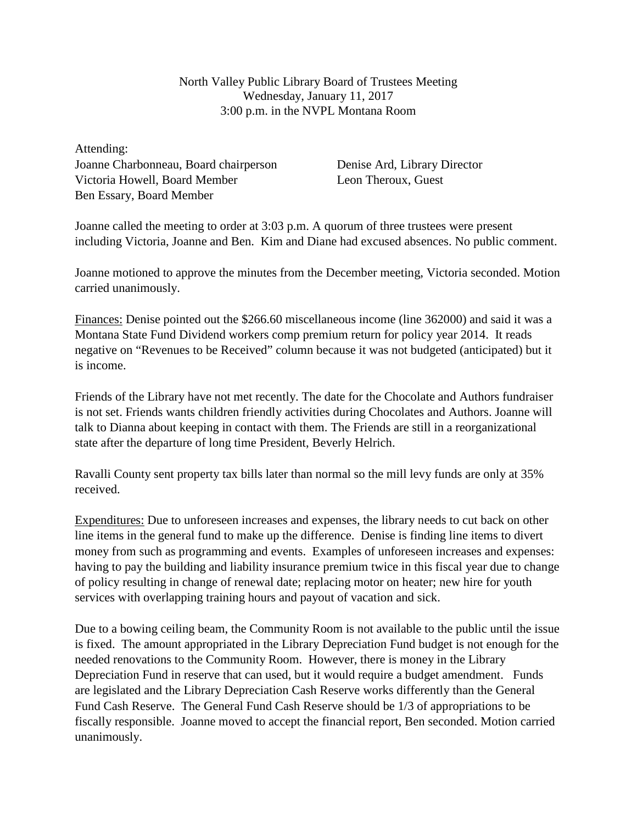North Valley Public Library Board of Trustees Meeting Wednesday, January 11, 2017 3:00 p.m. in the NVPL Montana Room

Attending: Joanne Charbonneau, Board chairperson Victoria Howell, Board Member Ben Essary, Board Member

Denise Ard, Library Director Leon Theroux, Guest

Joanne called the meeting to order at 3:03 p.m. A quorum of three trustees were present including Victoria, Joanne and Ben. Kim and Diane had excused absences. No public comment.

Joanne motioned to approve the minutes from the December meeting, Victoria seconded. Motion carried unanimously.

Finances: Denise pointed out the \$266.60 miscellaneous income (line 362000) and said it was a Montana State Fund Dividend workers comp premium return for policy year 2014. It reads negative on "Revenues to be Received" column because it was not budgeted (anticipated) but it is income.

Friends of the Library have not met recently. The date for the Chocolate and Authors fundraiser is not set. Friends wants children friendly activities during Chocolates and Authors. Joanne will talk to Dianna about keeping in contact with them. The Friends are still in a reorganizational state after the departure of long time President, Beverly Helrich.

Ravalli County sent property tax bills later than normal so the mill levy funds are only at 35% received.

Expenditures: Due to unforeseen increases and expenses, the library needs to cut back on other line items in the general fund to make up the difference. Denise is finding line items to divert money from such as programming and events. Examples of unforeseen increases and expenses: having to pay the building and liability insurance premium twice in this fiscal year due to change of policy resulting in change of renewal date; replacing motor on heater; new hire for youth services with overlapping training hours and payout of vacation and sick.

Due to a bowing ceiling beam, the Community Room is not available to the public until the issue is fixed. The amount appropriated in the Library Depreciation Fund budget is not enough for the needed renovations to the Community Room. However, there is money in the Library Depreciation Fund in reserve that can used, but it would require a budget amendment. Funds are legislated and the Library Depreciation Cash Reserve works differently than the General Fund Cash Reserve. The General Fund Cash Reserve should be 1/3 of appropriations to be fiscally responsible. Joanne moved to accept the financial report, Ben seconded. Motion carried unanimously.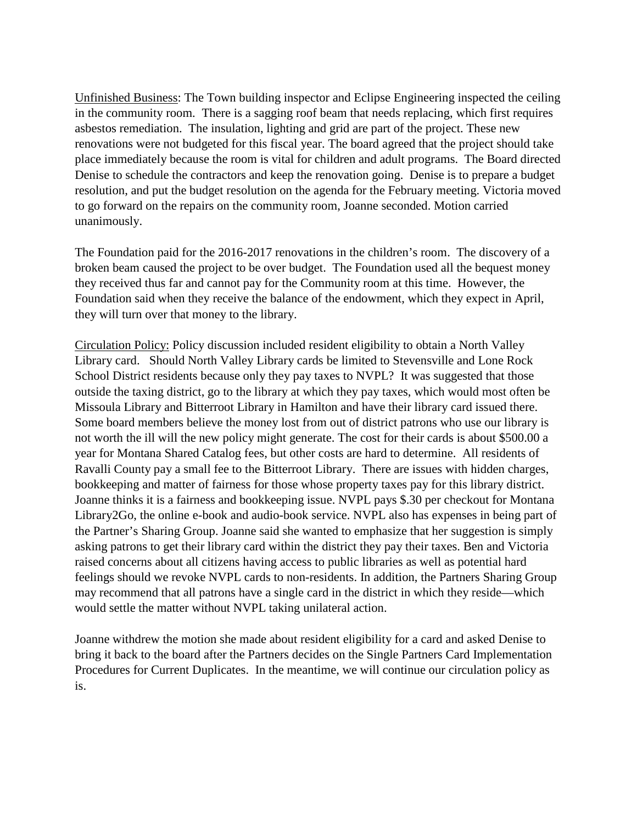Unfinished Business: The Town building inspector and Eclipse Engineering inspected the ceiling in the community room. There is a sagging roof beam that needs replacing, which first requires asbestos remediation. The insulation, lighting and grid are part of the project. These new renovations were not budgeted for this fiscal year. The board agreed that the project should take place immediately because the room is vital for children and adult programs. The Board directed Denise to schedule the contractors and keep the renovation going. Denise is to prepare a budget resolution, and put the budget resolution on the agenda for the February meeting. Victoria moved to go forward on the repairs on the community room, Joanne seconded. Motion carried unanimously.

The Foundation paid for the 2016-2017 renovations in the children's room. The discovery of a broken beam caused the project to be over budget. The Foundation used all the bequest money they received thus far and cannot pay for the Community room at this time. However, the Foundation said when they receive the balance of the endowment, which they expect in April, they will turn over that money to the library.

Circulation Policy: Policy discussion included resident eligibility to obtain a North Valley Library card. Should North Valley Library cards be limited to Stevensville and Lone Rock School District residents because only they pay taxes to NVPL? It was suggested that those outside the taxing district, go to the library at which they pay taxes, which would most often be Missoula Library and Bitterroot Library in Hamilton and have their library card issued there. Some board members believe the money lost from out of district patrons who use our library is not worth the ill will the new policy might generate. The cost for their cards is about \$500.00 a year for Montana Shared Catalog fees, but other costs are hard to determine. All residents of Ravalli County pay a small fee to the Bitterroot Library. There are issues with hidden charges, bookkeeping and matter of fairness for those whose property taxes pay for this library district. Joanne thinks it is a fairness and bookkeeping issue. NVPL pays \$.30 per checkout for Montana Library2Go, the online e-book and audio-book service. NVPL also has expenses in being part of the Partner's Sharing Group. Joanne said she wanted to emphasize that her suggestion is simply asking patrons to get their library card within the district they pay their taxes. Ben and Victoria raised concerns about all citizens having access to public libraries as well as potential hard feelings should we revoke NVPL cards to non-residents. In addition, the Partners Sharing Group may recommend that all patrons have a single card in the district in which they reside—which would settle the matter without NVPL taking unilateral action.

Joanne withdrew the motion she made about resident eligibility for a card and asked Denise to bring it back to the board after the Partners decides on the Single Partners Card Implementation Procedures for Current Duplicates. In the meantime, we will continue our circulation policy as is.